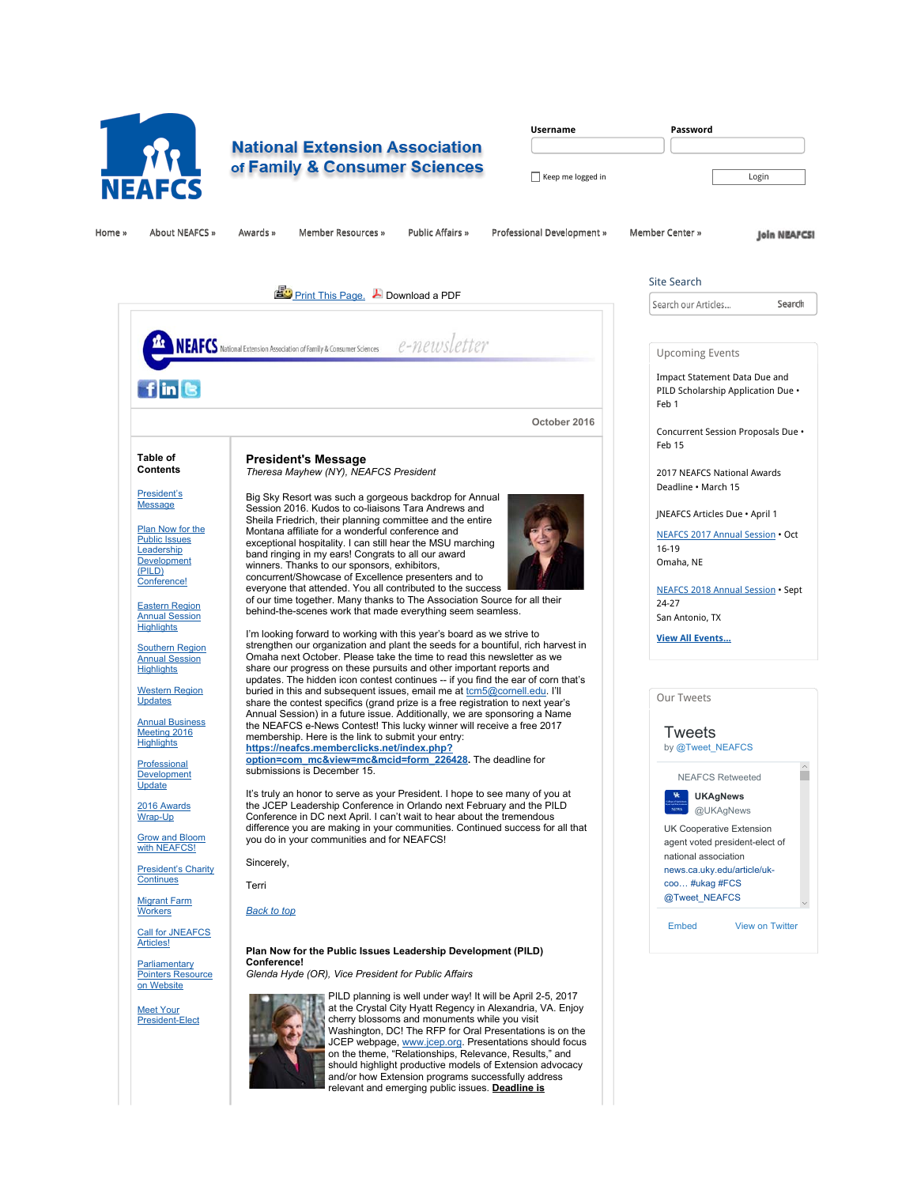

# **National Extension Association** of Family & Consumer Sciences

| <b>Username</b>   | Password |
|-------------------|----------|
|                   |          |
| Keep me logged in | Login    |

Home »» About NEAFCS »» Awards »» Member Resources »» Public Affairs »» Professional Development »» Member Center »»

**Join NEAFCSI** 



Site Search

**Search** 

Upcoming Events

Impact Statement Data Due and PILD Scholarship Application Due •

Concurrent Session Proposals Due •

2017 NEAFCS National Awards Deadline • March 15

JNEAFCS Articles Due • April 1

NEAFCS 2017 Annual Session • Oct

NEAFCS 2018 Annual Session • Sept

by @Tweet\_NEAFCS

 NEAFCS Retweeted **UKAgNews**

UK Cooperative Extension @UKAgNews

national association news.ca.uky.edu/article/ukcoo ... # ukag # FCS @Tweet\_NEAFCS

г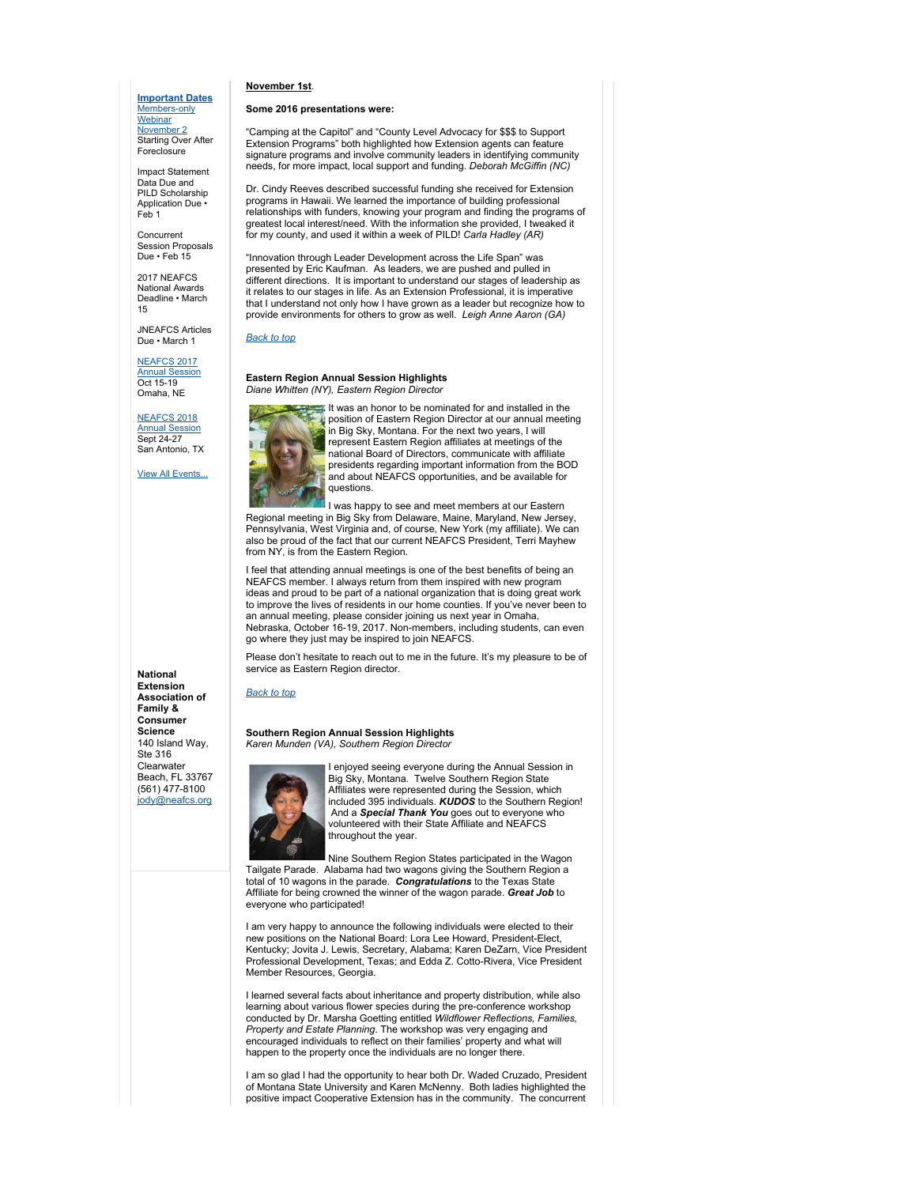## **Important Dates** Members-only **Webinar**

November 2 Starting Over After Foreclosure

Impact Statement Data Due and PILD Scholarship Application Due Feb 1

Concurrent Session Proposals Due • Feb 15

2017 NEAFCS National Awards Deadline • March 15

JNEAFCS Articles Due • March 1

# NEAFCS 2017

Annual Session Oct 15-19 Omaha, NE

NEAFCS 2018 Annual Session Sept 24-27 San Antonio, TX

**View All Events** 

**National Extension Association of Family & Consumer Science** 140 Island Way, Ste 316 Clearwater Beach, FL 33767 (561) 477-8100 jody@neafcs.org

#### **November 1st**.

## **Some 2016 presentations were:**

"Camping at the Capitol" and "County Level Advocacy for \$\$\$ to Support Extension Programs" both highlighted how Extension agents can feature signature programs and involve community leaders in identifying community needs, for more impact, local support and funding. *Deborah McGiffin (NC)*

Dr. Cindy Reeves described successful funding she received for Extension programs in Hawaii. We learned the importance of building professional relationships with funders, knowing your program and finding the programs of greatest local interest/need. With the information she provided, I tweaked it for my county, and used it within a week of PILD! *Carla Hadley (AR)*

"Innovation through Leader Development across the Life Span" was presented by Eric Kaufman. As leaders, we are pushed and pulled in different directions. It is important to understand our stages of leadership as it relates to our stages in life. As an Extension Professional, it is imperative that I understand not only how I have grown as a leader but recognize how to provide environments for others to grow as well. *Leigh Anne Aaron (GA)*

## *Back to top*

### **Eastern Region Annual Session Highlights** *Diane Whitten (NY), Eastern Region Director*



It was an honor to be nominated for and installed in the **position of Eastern Region Director at our annual meeting** in Big Sky, Montana. For the next two years, I will represent Eastern Region affiliates at meetings of the national Board of Directors, communicate with affiliate presidents regarding important information from the BOD and about NEAFCS opportunities, and be available for questions.

I was happy to see and meet members at our Eastern Regional meeting in Big Sky from Delaware, Maine, Maryland, New Jersey, Pennsylvania, West Virginia and, of course, New York (my affiliate). We can also be proud of the fact that our current NEAFCS President, Terri Mayhew from NY, is from the Eastern Region.

I feel that attending annual meetings is one of the best benefits of being an NEAFCS member. I always return from them inspired with new program ideas and proud to be part of a national organization that is doing great work to improve the lives of residents in our home counties. If you've never been to an annual meeting, please consider joining us next year in Omaha, Nebraska, October 16-19, 2017. Non-members, including students, can even go where they just may be inspired to join NEAFCS.

Please don't hesitate to reach out to me in the future. It's my pleasure to be of service as Eastern Region director.

#### *Back to top*

#### **Southern Region Annual Session Highlights** *Karen Munden (VA), Southern Region Director*



enjoyed seeing everyone during the Annual Session in Big Sky, Montana. Twelve Southern Region State Affiliates were represented during the Session, which included 395 individuals. *KUDOS* to the Southern Region! And a *Special Thank You* goes out to everyone who volunteered with their State Affiliate and NEAFCS throughout the year.

Nine Southern Region States participated in the Wagon Tailgate Parade. Alabama had two wagons giving the Southern Region a total of 10 wagons in the parade. *Congratulations* to the Texas State Affiliate for being crowned the winner of the wagon parade. *Great Job* to everyone who participated!

I am very happy to announce the following individuals were elected to their new positions on the National Board: Lora Lee Howard, President-Elect, Kentucky; Jovita J. Lewis, Secretary, Alabama; Karen DeZarn, Vice President Professional Development, Texas; and Edda Z. Cotto-Rivera, Vice President Member Resources, Georgia.

I learned several facts about inheritance and property distribution, while also learning about various flower species during the pre-conference workshop conducted by Dr. Marsha Goetting entitled *Wildflower Reflections, Families, Property and Estate Planning*. The workshop was very engaging and encouraged individuals to reflect on their families' property and what will happen to the property once the individuals are no longer there.

I am so glad I had the opportunity to hear both Dr. Waded Cruzado, President of Montana State University and Karen McNenny. Both ladies highlighted the positive impact Cooperative Extension has in the community. The concurrent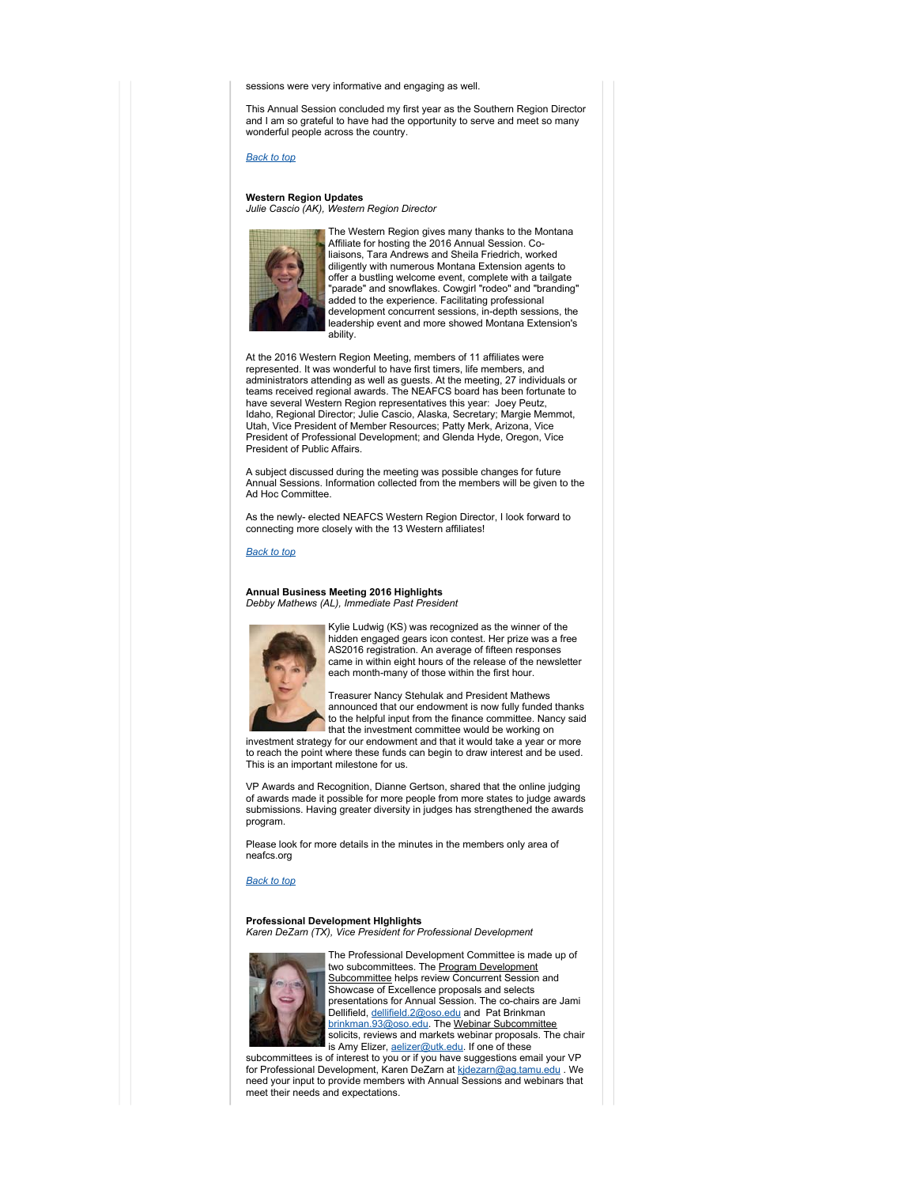sessions were very informative and engaging as well.

This Annual Session concluded my first year as the Southern Region Director and I am so grateful to have had the opportunity to serve and meet so many wonderful people across the country.

*Back to top*

**Western Region Updates** *Julie Cascio (AK), Western Region Director*



The Western Region gives many thanks to the Montana Affiliate for hosting the 2016 Annual Session. Coliaisons, Tara Andrews and Sheila Friedrich, worked diligently with numerous Montana Extension agents to offer a bustling welcome event, complete with a tailgate "parade" and snowflakes. Cowgirl "rodeo" and "branding" added to the experience. Facilitating professional development concurrent sessions, in-depth sessions, the leadership event and more showed Montana Extension's ability.

At the 2016 Western Region Meeting, members of 11 affiliates were represented. It was wonderful to have first timers, life members, and administrators attending as well as guests. At the meeting, 27 individuals or teams received regional awards. The NEAFCS board has been fortunate to have several Western Region representatives this year: Joey Peutz, Idaho, Regional Director; Julie Cascio, Alaska, Secretary; Margie Memmot, Utah, Vice President of Member Resources; Patty Merk, Arizona, Vice President of Professional Development; and Glenda Hyde, Oregon, Vice President of Public Affairs.

A subject discussed during the meeting was possible changes for future Annual Sessions. Information collected from the members will be given to the Ad Hoc Committee.

As the newly- elected NEAFCS Western Region Director, I look forward to connecting more closely with the 13 Western affiliates!

*Back to top*

**Annual Business Meeting 2016 Highlights** *Debby Mathews (AL), Immediate Past President*



Kylie Ludwig (KS) was recognized as the winner of the hidden engaged gears icon contest. Her prize was a free AS2016 registration. An average of fifteen responses came in within eight hours of the release of the newsletter each month-many of those within the first hour.

Treasurer Nancy Stehulak and President Mathews announced that our endowment is now fully funded thanks to the helpful input from the finance committee. Nancy said that the investment committee would be working on

investment strategy for our endowment and that it would take a year or more to reach the point where these funds can begin to draw interest and be used. This is an important milestone for us.

VP Awards and Recognition, Dianne Gertson, shared that the online judging of awards made it possible for more people from more states to judge awards submissions. Having greater diversity in judges has strengthened the awards program.

Please look for more details in the minutes in the members only area of neafcs.org

*Back to top*

# **Professional Development HIghlights**

*Karen DeZarn (TX), Vice President for Professional Development*



The Professional Development Committee is made up of two subcommittees. The **Program Development** Subcommittee helps review Concurrent Session and Showcase of Excellence proposals and selects presentations for Annual Session. The co-chairs are Jami .<br>Dellifield, <u>dellifield.2@oso.edu</u> and Pat Brinkman brinkman.93@oso.edu. The Webinar Subcommittee solicits, reviews and markets webinar proposals. The chair is Amy Elizer, **aelizer@utk.edu.** If one of these

subcommittees is of interest to you or if you have suggestions email your VP for Professional Development, Karen DeZarn at kidezarn@ag.tamu.edu . We need your input to provide members with Annual Sessions and webinars that meet their needs and expectations.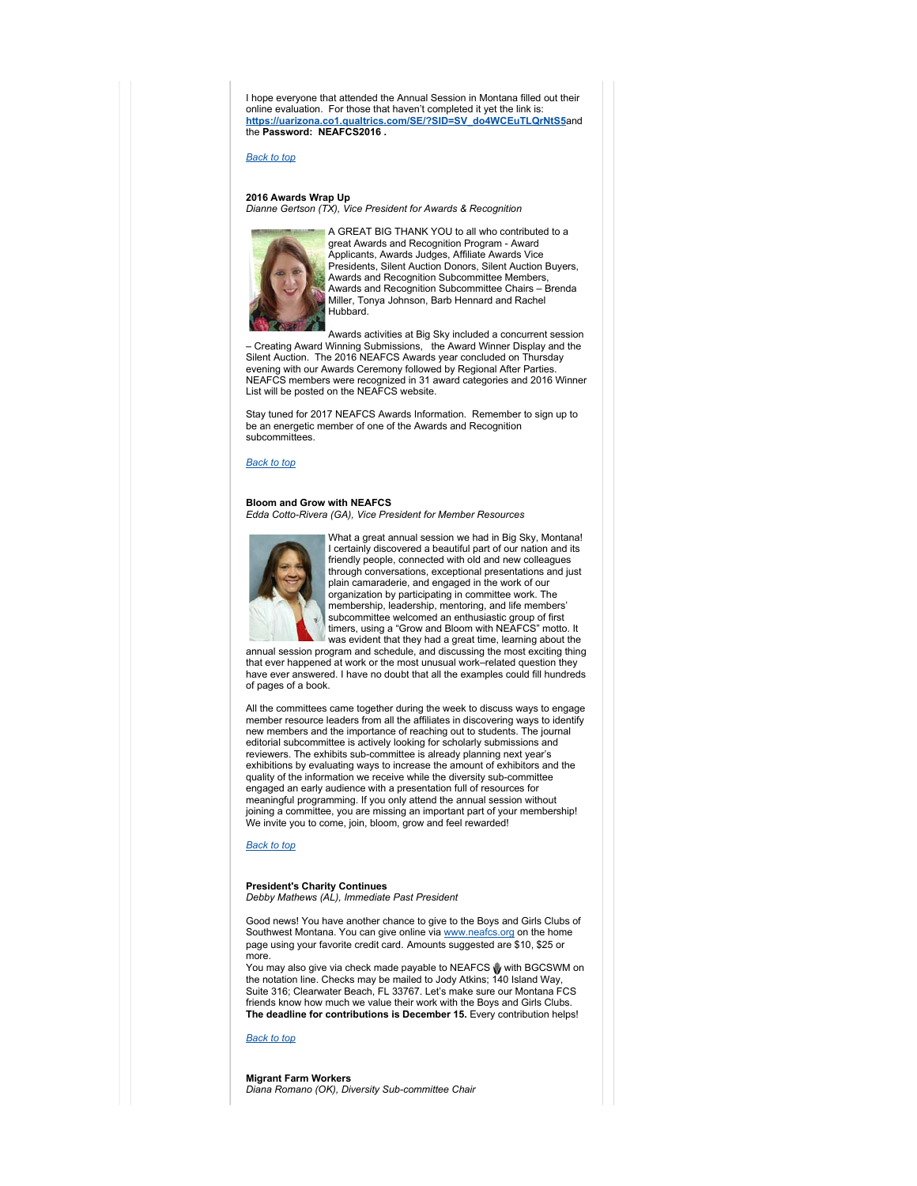I hope everyone that attended the Annual Session in Montana filled out their online evaluation. For those that haven't completed it yet the link is: **https://uarizona.co1.qualtrics.com/SE/?SID=SV\_do4WCEuTLQrNtS5**and the **Password: NEAFCS2016 .**

#### *Back to top*

**2016 Awards Wrap Up** *Dianne Gertson (TX), Vice President for Awards & Recognition*



A GREAT BIG THANK YOU to all who contributed to a great Awards and Recognition Program - Award Applicants, Awards Judges, Affiliate Awards Vice Presidents, Silent Auction Donors, Silent Auction Buyers, Awards and Recognition Subcommittee Members, Awards and Recognition Subcommittee Chairs – Brenda Miller, Tonya Johnson, Barb Hennard and Rachel Hubbard.

Awards activities at Big Sky included a concurrent session – Creating Award Winning Submissions, the Award Winner Display and the Silent Auction. The 2016 NEAFCS Awards year concluded on Thursday evening with our Awards Ceremony followed by Regional After Parties. NEAFCS members were recognized in 31 award categories and 2016 Winner List will be posted on the NEAFCS website.

Stay tuned for 2017 NEAFCS Awards Information. Remember to sign up to be an energetic member of one of the Awards and Recognition subcommittees.

## *Back to top*

#### **Bloom and Grow with NEAFCS** *Edda Cotto-Rivera (GA), Vice President for Member Resources*



What a great annual session we had in Big Sky, Montana! I certainly discovered a beautiful part of our nation and its friendly people, connected with old and new colleagues through conversations, exceptional presentations and just plain camaraderie, and engaged in the work of our organization by participating in committee work. The membership, leadership, mentoring, and life members' subcommittee welcomed an enthusiastic group of first timers, using a "Grow and Bloom with NEAFCS" motto. It was evident that they had a great time, learning about the

annual session program and schedule, and discussing the most exciting thing that ever happened at work or the most unusual work–related question they have ever answered. I have no doubt that all the examples could fill hundreds of pages of a book.

All the committees came together during the week to discuss ways to engage member resource leaders from all the affiliates in discovering ways to identify new members and the importance of reaching out to students. The journal editorial subcommittee is actively looking for scholarly submissions and reviewers. The exhibits sub-committee is already planning next year's exhibitions by evaluating ways to increase the amount of exhibitors and the quality of the information we receive while the diversity sub-committee engaged an early audience with a presentation full of resources for meaningful programming. If you only attend the annual session without joining a committee, you are missing an important part of your membership! We invite you to come, join, bloom, grow and feel rewarded!

# *Back to top*

# **President's Charity Continues**

*Debby Mathews (AL), Immediate Past President*

Good news! You have another chance to give to the Boys and Girls Clubs of Southwest Montana. You can give online via www.neafcs.org on the home page using your favorite credit card. Amounts suggested are \$10, \$25 or more.

You may also give via check made payable to NEAFCS with BGCSWM on the notation line. Checks may be mailed to Jody Atkins; 140 Island Way, Suite 316; Clearwater Beach, FL 33767. Let's make sure our Montana FCS friends know how much we value their work with the Boys and Girls Clubs. **The deadline for contributions is December 15.** Every contribution helps!

*Back to top*

# **Migrant Farm Workers**

*Diana Romano (OK), Diversity Sub-committee Chair*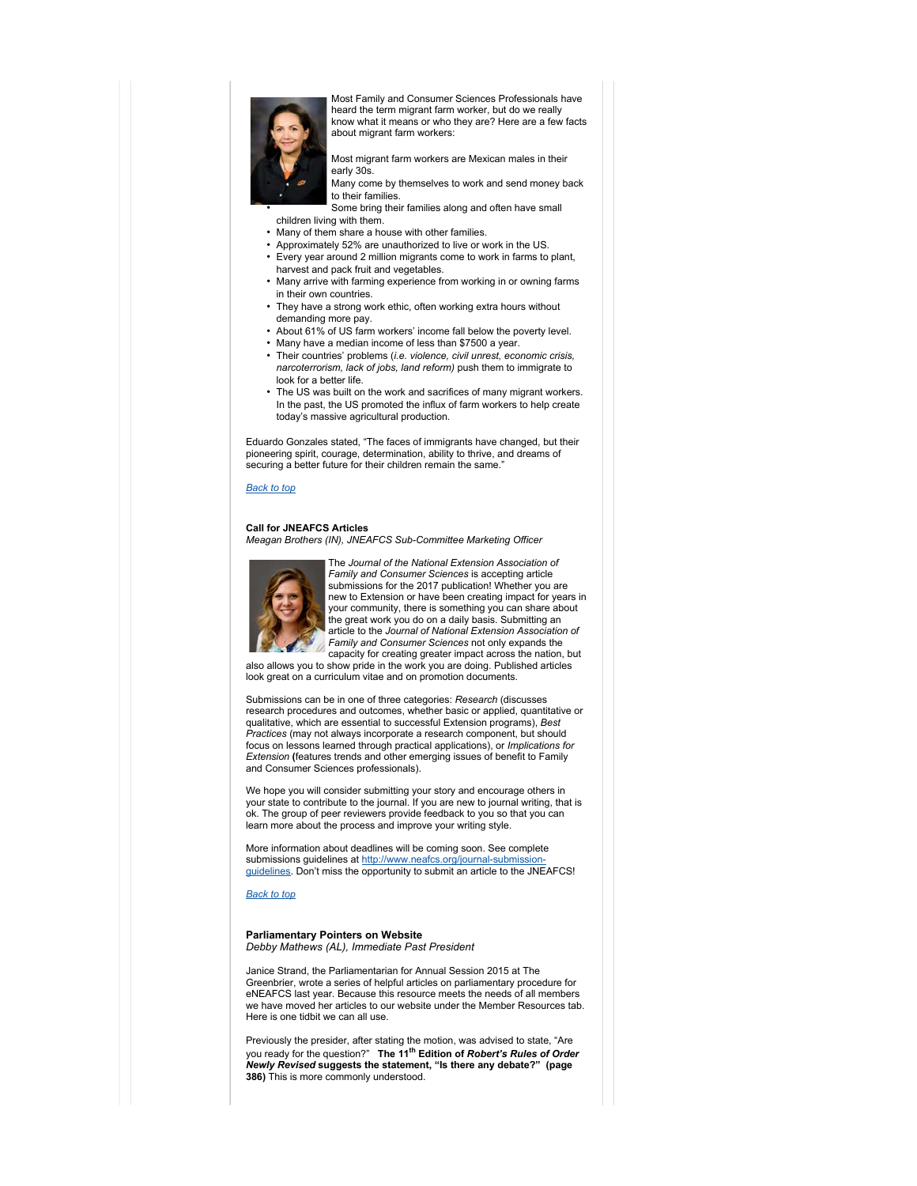

Most Family and Consumer Sciences Professionals have heard the term migrant farm worker, but do we really know what it means or who they are? Here are a few facts about migrant farm workers:

• Most migrant farm workers are Mexican males in their

early 30s. Many come by themselves to work and send money back to their families.

Some bring their families along and often have small children living with them.

- Many of them share a house with other families.
- Approximately 52% are unauthorized to live or work in the US.
- Every year around 2 million migrants come to work in farms to plant, harvest and pack fruit and vegetables.
- Many arrive with farming experience from working in or owning farms in their own countries.
- They have a strong work ethic, often working extra hours without demanding more pay.
- About 61% of US farm workers' income fall below the poverty level.
- Many have a median income of less than \$7500 a year.
- Their countries' problems (*i.e. violence, civil unrest, economic crisis, narcoterrorism, lack of jobs, land reform)* push them to immigrate to look for a better life.
- The US was built on the work and sacrifices of many migrant workers. In the past, the US promoted the influx of farm workers to help create today's massive agricultural production.

Eduardo Gonzales stated, "The faces of immigrants have changed, but their pioneering spirit, courage, determination, ability to thrive, and dreams of securing a better future for their children remain the same.

#### *Back to top*

# **Call for JNEAFCS Articles**

*Meagan Brothers (IN), JNEAFCS Sub-Committee Marketing Officer*



The *Journal of the National Extension Association of Family and Consumer Sciences* is accepting article submissions for the 2017 publication! Whether you are new to Extension or have been creating impact for years in your community, there is something you can share about the great work you do on a daily basis. Submitting an article to the *Journal of National Extension Association of Family and Consumer Sciences* not only expands the capacity for creating greater impact across the nation, but

also allows you to show pride in the work you are doing. Published articles look great on a curriculum vitae and on promotion documents.

Submissions can be in one of three categories: *Research* (discusses research procedures and outcomes, whether basic or applied, quantitative or qualitative, which are essential to successful Extension programs), *Best Practices* (may not always incorporate a research component, but should focus on lessons learned through practical applications), or *Implications for Extension* **(**features trends and other emerging issues of benefit to Family and Consumer Sciences professionals).

We hope you will consider submitting your story and encourage others in your state to contribute to the journal. If you are new to journal writing, that is ok. The group of peer reviewers provide feedback to you so that you can learn more about the process and improve your writing style.

More information about deadlines will be coming soon. See complete submissions guidelines at http://www.neafcs.org/journal-submissionguidelines. Don't miss the opportunity to submit an article to the JNEAFCS!

*Back to top*

## **Parliamentary Pointers on Website** *Debby Mathews (AL), Immediate Past President*

Janice Strand, the Parliamentarian for Annual Session 2015 at The Greenbrier, wrote a series of helpful articles on parliamentary procedure for eNEAFCS last year. Because this resource meets the needs of all members we have moved her articles to our website under the Member Resources tab. Here is one tidbit we can all use.

Previously the presider, after stating the motion, was advised to state, "Are you ready for the question?" **The 11th Edition of** *Robert's Rules of Order Newly Revised* **suggests the statement, "Is there any debate?" (page 386)** This is more commonly understood.